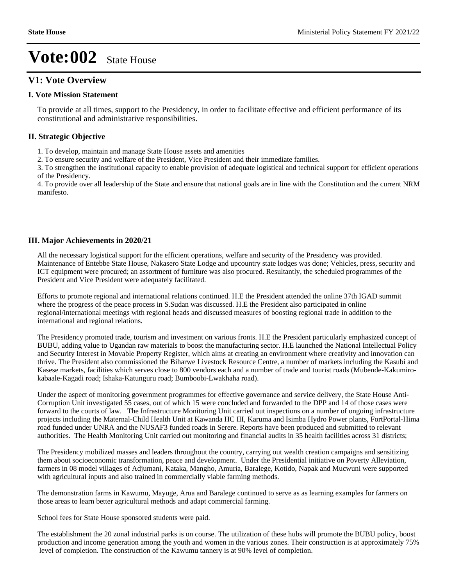### **V1: Vote Overview**

### **I. Vote Mission Statement**

To provide at all times, support to the Presidency, in order to facilitate effective and efficient performance of its constitutional and administrative responsibilities.

### **II. Strategic Objective**

1. To develop, maintain and manage State House assets and amenities

2. To ensure security and welfare of the President, Vice President and their immediate families.

3. To strengthen the institutional capacity to enable provision of adequate logistical and technical support for efficient operations of the Presidency.

4. To provide over all leadership of the State and ensure that national goals are in line with the Constitution and the current NRM manifesto.

### **III. Major Achievements in 2020/21**

All the necessary logistical support for the efficient operations, welfare and security of the Presidency was provided. Maintenance of Entebbe State House, Nakasero State Lodge and upcountry state lodges was done; Vehicles, press, security and ICT equipment were procured; an assortment of furniture was also procured. Resultantly, the scheduled programmes of the President and Vice President were adequately facilitated.

Efforts to promote regional and international relations continued. H.E the President attended the online 37th IGAD summit where the progress of the peace process in S.Sudan was discussed. H.E the President also participated in online regional/international meetings with regional heads and discussed measures of boosting regional trade in addition to the international and regional relations.

The Presidency promoted trade, tourism and investment on various fronts. H.E the President particularly emphasized concept of BUBU, adding value to Ugandan raw materials to boost the manufacturing sector. H.E launched the National Intellectual Policy and Security Interest in Movable Property Register, which aims at creating an environment where creativity and innovation can thrive. The President also commissioned the Biharwe Livestock Resource Centre, a number of markets including the Kasubi and Kasese markets, facilities which serves close to 800 vendors each and a number of trade and tourist roads (Mubende-Kakumirokabaale-Kagadi road; Ishaka-Katunguru road; Bumboobi-Lwakhaha road).

Under the aspect of monitoring government programmes for effective governance and service delivery, the State House Anti-Corruption Unit investigated 55 cases, out of which 15 were concluded and forwarded to the DPP and 14 of those cases were forward to the courts of law. The Infrastructure Monitoring Unit carried out inspections on a number of ongoing infrastructure projects including the Maternal-Child Health Unit at Kawanda HC III, Karuma and Isimba Hydro Power plants, FortPortal-Hima road funded under UNRA and the NUSAF3 funded roads in Serere. Reports have been produced and submitted to relevant authorities. The Health Monitoring Unit carried out monitoring and financial audits in 35 health facilities across 31 districts;

The Presidency mobilized masses and leaders throughout the country, carrying out wealth creation campaigns and sensitizing them about socioeconomic transformation, peace and development. Under the Presidential initiative on Poverty Alleviation, farmers in 08 model villages of Adjumani, Kataka, Mangho, Amuria, Baralege, Kotido, Napak and Mucwuni were supported with agricultural inputs and also trained in commercially viable farming methods.

The demonstration farms in Kawumu, Mayuge, Arua and Baralege continued to serve as as learning examples for farmers on those areas to learn better agricultural methods and adapt commercial farming.

School fees for State House sponsored students were paid.

The establishment the 20 zonal industrial parks is on course. The utilization of these hubs will promote the BUBU policy, boost production and income generation among the youth and women in the various zones. Their construction is at approximately 75% level of completion. The construction of the Kawumu tannery is at 90% level of completion.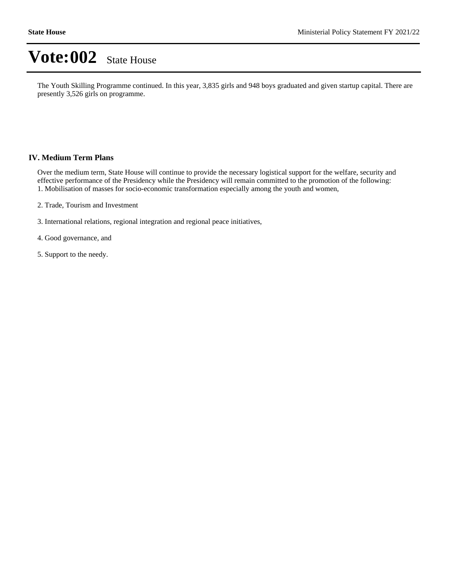The Youth Skilling Programme continued. In this year, 3,835 girls and 948 boys graduated and given startup capital. There are presently 3,526 girls on programme.

#### **IV. Medium Term Plans**

Over the medium term, State House will continue to provide the necessary logistical support for the welfare, security and effective performance of the Presidency while the Presidency will remain committed to the promotion of the following: 1. Mobilisation of masses for socio-economic transformation especially among the youth and women,

- 2. Trade, Tourism and Investment
- 3. International relations, regional integration and regional peace initiatives,

4. Good governance, and

5. Support to the needy.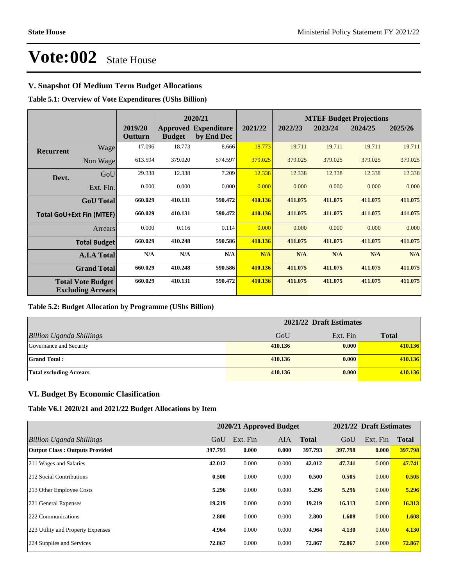### **V. Snapshot Of Medium Term Budget Allocations**

**Table 5.1: Overview of Vote Expenditures (UShs Billion)**

|                  |                                                      |                    | 2020/21       |                                           |         | <b>MTEF Budget Projections</b> |         |         |         |
|------------------|------------------------------------------------------|--------------------|---------------|-------------------------------------------|---------|--------------------------------|---------|---------|---------|
|                  |                                                      | 2019/20<br>Outturn | <b>Budget</b> | <b>Approved Expenditure</b><br>by End Dec | 2021/22 | 2022/23                        | 2023/24 | 2024/25 | 2025/26 |
| <b>Recurrent</b> | Wage                                                 | 17.096             | 18.773        | 8.666                                     | 18.773  | 19.711                         | 19.711  | 19.711  | 19.711  |
|                  | Non Wage                                             | 613.594            | 379.020       | 574.597                                   | 379.025 | 379.025                        | 379.025 | 379.025 | 379.025 |
| Devt.            | GoU                                                  | 29.338             | 12.338        | 7.209                                     | 12.338  | 12.338                         | 12.338  | 12.338  | 12.338  |
|                  | Ext. Fin.                                            | 0.000              | 0.000         | 0.000                                     | 0.000   | 0.000                          | 0.000   | 0.000   | 0.000   |
|                  | <b>GoU</b> Total                                     | 660.029            | 410.131       | 590.472                                   | 410.136 | 411.075                        | 411.075 | 411.075 | 411.075 |
|                  | <b>Total GoU+Ext Fin (MTEF)</b>                      | 660.029            | 410.131       | 590.472                                   | 410.136 | 411.075                        | 411.075 | 411.075 | 411.075 |
|                  | Arrears                                              | 0.000              | 0.116         | 0.114                                     | 0.000   | 0.000                          | 0.000   | 0.000   | 0.000   |
|                  | <b>Total Budget</b>                                  | 660.029            | 410.248       | 590.586                                   | 410.136 | 411.075                        | 411.075 | 411.075 | 411.075 |
|                  | <b>A.I.A Total</b>                                   | N/A                | N/A           | N/A                                       | N/A     | N/A                            | N/A     | N/A     | N/A     |
|                  | <b>Grand Total</b>                                   | 660.029            | 410.248       | 590.586                                   | 410.136 | 411.075                        | 411.075 | 411.075 | 411.075 |
|                  | <b>Total Vote Budget</b><br><b>Excluding Arrears</b> | 660.029            | 410.131       | 590.472                                   | 410.136 | 411.075                        | 411.075 | 411.075 | 411.075 |

### **Table 5.2: Budget Allocation by Programme (UShs Billion)**

|                                 | 2021/22 Draft Estimates |          |              |  |
|---------------------------------|-------------------------|----------|--------------|--|
| <b>Billion Uganda Shillings</b> | GoU                     | Ext. Fin | <b>Total</b> |  |
| Governance and Security         | 410.136                 | 0.000    | 410.136      |  |
| <b>Grand Total:</b>             | 410.136                 | 0.000    | 410.136      |  |
| <b>Total excluding Arrears</b>  | 410.136                 | 0.000    | 410.136      |  |

### **VI. Budget By Economic Clasification**

**Table V6.1 2020/21 and 2021/22 Budget Allocations by Item**

|                                       |         | 2020/21 Approved Budget |            |              |         | 2021/22 Draft Estimates |              |
|---------------------------------------|---------|-------------------------|------------|--------------|---------|-------------------------|--------------|
| Billion Uganda Shillings              | GoU     | Ext. Fin                | <b>AIA</b> | <b>Total</b> | GoU     | Ext. Fin                | <b>Total</b> |
| <b>Output Class: Outputs Provided</b> | 397.793 | 0.000                   | 0.000      | 397.793      | 397.798 | 0.000                   | 397.798      |
| 211 Wages and Salaries                | 42.012  | 0.000                   | 0.000      | 42.012       | 47.741  | 0.000                   | 47.741       |
| 212 Social Contributions              | 0.500   | 0.000                   | 0.000      | 0.500        | 0.505   | 0.000                   | 0.505        |
| 213 Other Employee Costs              | 5.296   | 0.000                   | 0.000      | 5.296        | 5.296   | 0.000                   | 5.296        |
| 221 General Expenses                  | 19.219  | 0.000                   | 0.000      | 19.219       | 16.313  | 0.000                   | 16.313       |
| 222 Communications                    | 2.800   | 0.000                   | 0.000      | 2.800        | 1.608   | 0.000                   | 1.608        |
| 223 Utility and Property Expenses     | 4.964   | 0.000                   | 0.000      | 4.964        | 4.130   | 0.000                   | 4.130        |
| 224 Supplies and Services             | 72.867  | 0.000                   | 0.000      | 72.867       | 72.867  | 0.000                   | 72.867       |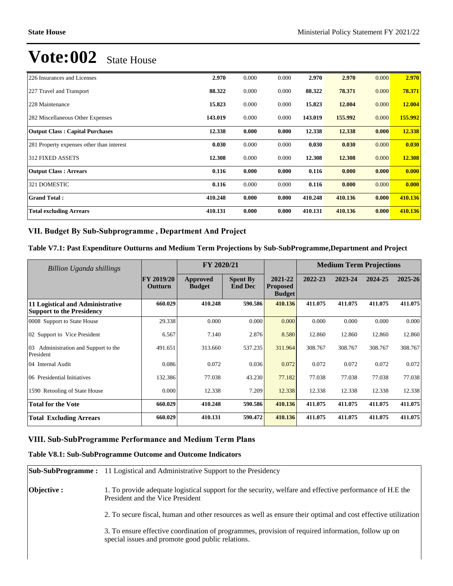| 226 Insurances and Licenses               | 2.970   | 0.000 | 0.000 | 2.970   | 2.970   | 0.000 | 2.970   |
|-------------------------------------------|---------|-------|-------|---------|---------|-------|---------|
| 227 Travel and Transport                  | 88.322  | 0.000 | 0.000 | 88.322  | 78.371  | 0.000 | 78.371  |
| 228 Maintenance                           | 15.823  | 0.000 | 0.000 | 15.823  | 12.004  | 0.000 | 12.004  |
| 282 Miscellaneous Other Expenses          | 143.019 | 0.000 | 0.000 | 143.019 | 155.992 | 0.000 | 155.992 |
| <b>Output Class: Capital Purchases</b>    | 12.338  | 0.000 | 0.000 | 12.338  | 12.338  | 0.000 | 12.338  |
| 281 Property expenses other than interest | 0.030   | 0.000 | 0.000 | 0.030   | 0.030   | 0.000 | 0.030   |
| <b>312 FIXED ASSETS</b>                   | 12.308  | 0.000 | 0.000 | 12.308  | 12.308  | 0.000 | 12.308  |
| <b>Output Class: Arrears</b>              | 0.116   | 0.000 | 0.000 | 0.116   | 0.000   | 0.000 | 0.000   |
| 321 DOMESTIC                              | 0.116   | 0.000 | 0.000 | 0.116   | 0.000   | 0.000 | 0.000   |
| <b>Grand Total:</b>                       | 410.248 | 0.000 | 0.000 | 410.248 | 410.136 | 0.000 | 410.136 |
| <b>Total excluding Arrears</b>            | 410.131 | 0.000 | 0.000 | 410.131 | 410.136 | 0.000 | 410.136 |

### VII. Budget By Sub-Subprogramme, Department And Project

### **Table V7.1: Past Expenditure Outturns and Medium Term Projections by Sub-SubProgramme,Department and Project**

| Billion Uganda shillings                                             |                              | FY 2020/21                |                                   | <b>Medium Term Projections</b>              |         |         |         |         |
|----------------------------------------------------------------------|------------------------------|---------------------------|-----------------------------------|---------------------------------------------|---------|---------|---------|---------|
|                                                                      | <b>FY 2019/20</b><br>Outturn | Approved<br><b>Budget</b> | <b>Spent By</b><br><b>End Dec</b> | 2021-22<br><b>Proposed</b><br><b>Budget</b> | 2022-23 | 2023-24 | 2024-25 | 2025-26 |
| 11 Logistical and Administrative<br><b>Support to the Presidency</b> | 660.029                      | 410.248                   | 590.586                           | 410.136                                     | 411.075 | 411.075 | 411.075 | 411.075 |
| 0008 Support to State House                                          | 29.338                       | 0.000                     | 0.000                             | 0.000                                       | 0.000   | 0.000   | 0.000   | 0.000   |
| 02 Support to Vice President                                         | 6.567                        | 7.140                     | 2.876                             | 8.580                                       | 12.860  | 12.860  | 12.860  | 12.860  |
| Administration and Support to the<br>03<br>President                 | 491.651                      | 313.660                   | 537.235                           | 311.964                                     | 308.767 | 308.767 | 308.767 | 308.767 |
| 04 Internal Audit                                                    | 0.086                        | 0.072                     | 0.036                             | 0.072                                       | 0.072   | 0.072   | 0.072   | 0.072   |
| 06 Presidential Initiatives                                          | 132.386                      | 77.038                    | 43.230                            | 77.182                                      | 77.038  | 77.038  | 77.038  | 77.038  |
| 1590 Retooling of State House                                        | 0.000                        | 12.338                    | 7.209                             | 12.338                                      | 12.338  | 12.338  | 12.338  | 12.338  |
| <b>Total for the Vote</b>                                            | 660.029                      | 410.248                   | 590.586                           | 410.136                                     | 411.075 | 411.075 | 411.075 | 411.075 |
| <b>Total Excluding Arrears</b>                                       | 660.029                      | 410.131                   | 590.472                           | 410.136                                     | 411.075 | 411.075 | 411.075 | 411.075 |

### **VIII. Sub-SubProgramme Performance and Medium Term Plans**

### **Table V8.1: Sub-SubProgramme Outcome and Outcome Indicators**

|             | <b>Sub-SubProgramme:</b> 11 Logistical and Administrative Support to the Presidency                                                                     |
|-------------|---------------------------------------------------------------------------------------------------------------------------------------------------------|
| Objective : | 1. To provide adequate logistical support for the security, welfare and effective performance of H.E the<br>President and the Vice President            |
|             | 2. To secure fiscal, human and other resources as well as ensure their optimal and cost effective utilization                                           |
|             | 3. To ensure effective coordination of programmes, provision of required information, follow up on<br>special issues and promote good public relations. |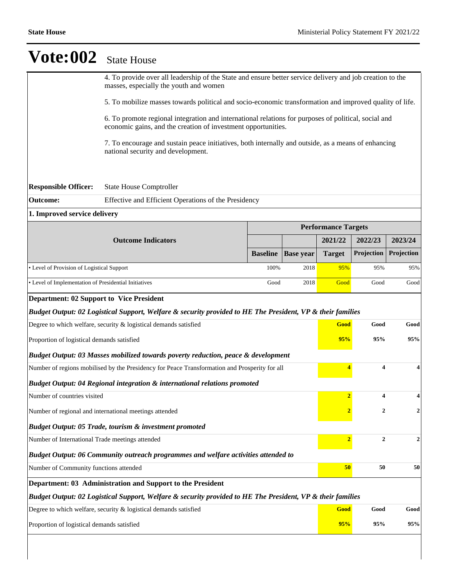|                                                                                                            | 4. To provide over all leadership of the State and ensure better service delivery and job creation to the<br>masses, especially the youth and women                   |                 |                  |                            |            |            |  |
|------------------------------------------------------------------------------------------------------------|-----------------------------------------------------------------------------------------------------------------------------------------------------------------------|-----------------|------------------|----------------------------|------------|------------|--|
|                                                                                                            | 5. To mobilize masses towards political and socio-economic transformation and improved quality of life.                                                               |                 |                  |                            |            |            |  |
|                                                                                                            | 6. To promote regional integration and international relations for purposes of political, social and<br>economic gains, and the creation of investment opportunities. |                 |                  |                            |            |            |  |
|                                                                                                            | 7. To encourage and sustain peace initiatives, both internally and outside, as a means of enhancing<br>national security and development.                             |                 |                  |                            |            |            |  |
|                                                                                                            |                                                                                                                                                                       |                 |                  |                            |            |            |  |
| <b>Responsible Officer:</b>                                                                                | <b>State House Comptroller</b>                                                                                                                                        |                 |                  |                            |            |            |  |
| Outcome:                                                                                                   | Effective and Efficient Operations of the Presidency                                                                                                                  |                 |                  |                            |            |            |  |
| 1. Improved service delivery                                                                               |                                                                                                                                                                       |                 |                  |                            |            |            |  |
|                                                                                                            |                                                                                                                                                                       |                 |                  | <b>Performance Targets</b> |            |            |  |
|                                                                                                            | <b>Outcome Indicators</b>                                                                                                                                             |                 |                  | 2021/22                    | 2022/23    | 2023/24    |  |
|                                                                                                            |                                                                                                                                                                       | <b>Baseline</b> | <b>Base year</b> | <b>Target</b>              | Projection | Projection |  |
| • Level of Provision of Logistical Support                                                                 |                                                                                                                                                                       | 100%            | 2018             | 95%                        | 95%        | 95%        |  |
| • Level of Implementation of Presidential Initiatives<br>Good<br>2018                                      |                                                                                                                                                                       |                 |                  |                            | Good       | Good       |  |
| <b>Department: 02 Support to Vice President</b>                                                            |                                                                                                                                                                       |                 |                  |                            |            |            |  |
|                                                                                                            | Budget Output: 02 Logistical Support, Welfare & security provided to HE The President, VP & their families                                                            |                 |                  |                            |            |            |  |
|                                                                                                            | Degree to which welfare, security & logistical demands satisfied                                                                                                      |                 |                  | Good                       | Good       | Good       |  |
| Proportion of logistical demands satisfied                                                                 |                                                                                                                                                                       |                 |                  | 95%                        | 95%        | 95%        |  |
|                                                                                                            | <b>Budget Output: 03 Masses mobilized towards poverty reduction, peace &amp; development</b>                                                                          |                 |                  |                            |            |            |  |
|                                                                                                            | Number of regions mobilised by the Presidency for Peace Transformation and Prosperity for all                                                                         |                 |                  |                            | 4          | 4          |  |
|                                                                                                            | Budget Output: 04 Regional integration & international relations promoted                                                                                             |                 |                  |                            |            |            |  |
| Number of countries visited                                                                                |                                                                                                                                                                       |                 |                  | $\overline{2}$             | 4          | 4          |  |
|                                                                                                            | Number of regional and international meetings attended                                                                                                                |                 |                  |                            | 2          | 2          |  |
| <b>Budget Output: 05 Trade, tourism &amp; investment promoted</b>                                          |                                                                                                                                                                       |                 |                  |                            |            |            |  |
| Number of International Trade meetings attended                                                            |                                                                                                                                                                       | $\overline{2}$  | $\boldsymbol{2}$ | $\mathbf{2}$               |            |            |  |
| Budget Output: 06 Community outreach programmes and welfare activities attended to                         |                                                                                                                                                                       |                 |                  |                            |            |            |  |
| Number of Community functions attended                                                                     | 50                                                                                                                                                                    | 50              | 50               |                            |            |            |  |
| Department: 03 Administration and Support to the President                                                 |                                                                                                                                                                       |                 |                  |                            |            |            |  |
| Budget Output: 02 Logistical Support, Welfare & security provided to HE The President, VP & their families |                                                                                                                                                                       |                 |                  |                            |            |            |  |
|                                                                                                            | Degree to which welfare, security $&$ logistical demands satisfied                                                                                                    |                 |                  | Good                       | Good       | Good       |  |
| Proportion of logistical demands satisfied                                                                 |                                                                                                                                                                       |                 |                  |                            | 95%<br>95% | 95%        |  |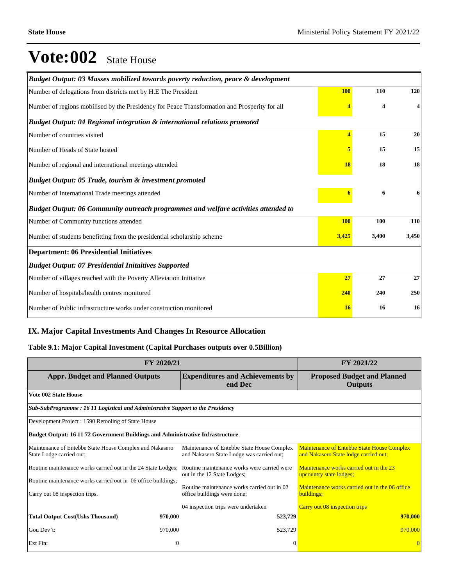| Budget Output: 03 Masses mobilized towards poverty reduction, peace & development             |                         |                         |                         |
|-----------------------------------------------------------------------------------------------|-------------------------|-------------------------|-------------------------|
| Number of delegations from districts met by H.E The President                                 | <b>100</b>              | 110                     | 120                     |
| Number of regions mobilised by the Presidency for Peace Transformation and Prosperity for all |                         | $\overline{\mathbf{4}}$ | $\overline{\mathbf{4}}$ |
| Budget Output: 04 Regional integration & international relations promoted                     |                         |                         |                         |
| Number of countries visited                                                                   | $\overline{\mathbf{4}}$ | 15                      | 20                      |
| Number of Heads of State hosted                                                               | 5                       | 15                      | 15                      |
| Number of regional and international meetings attended                                        | <b>18</b>               | 18                      | 18                      |
| Budget Output: 05 Trade, tourism & investment promoted                                        |                         |                         |                         |
| Number of International Trade meetings attended                                               | 6                       | 6                       | 6                       |
| <b>Budget Output: 06 Community outreach programmes and welfare activities attended to</b>     |                         |                         |                         |
| Number of Community functions attended                                                        | <b>100</b>              | 100                     | 110                     |
| Number of students benefitting from the presidential scholarship scheme                       | 3,425                   | 3,400                   | 3,450                   |
| <b>Department: 06 Presidential Initiatives</b>                                                |                         |                         |                         |
| <b>Budget Output: 07 Presidential Initaitives Supported</b>                                   |                         |                         |                         |
| Number of villages reached with the Poverty Alleviation Initiative                            | 27                      | 27                      | 27                      |
| Number of hospitals/health centres monitored                                                  | 240                     | 240                     | 250                     |
| Number of Public infrastructure works under construction monitored                            | 16                      | 16                      | 16                      |

### **IX. Major Capital Investments And Changes In Resource Allocation**

### **Table 9.1: Major Capital Investment (Capital Purchases outputs over 0.5Billion)**

| FY 2020/21                                                                                      | FY 2021/22                                                                              |                                                                                     |  |  |  |  |  |  |
|-------------------------------------------------------------------------------------------------|-----------------------------------------------------------------------------------------|-------------------------------------------------------------------------------------|--|--|--|--|--|--|
| <b>Appr. Budget and Planned Outputs</b>                                                         | <b>Expenditures and Achievements by</b><br>end Dec                                      | <b>Proposed Budget and Planned</b><br><b>Outputs</b>                                |  |  |  |  |  |  |
| <b>Vote 002 State House</b>                                                                     |                                                                                         |                                                                                     |  |  |  |  |  |  |
|                                                                                                 | Sub-SubProgramme: 16 11 Logistical and Administrative Support to the Presidency         |                                                                                     |  |  |  |  |  |  |
| Development Project : 1590 Retooling of State House                                             |                                                                                         |                                                                                     |  |  |  |  |  |  |
| <b>Budget Output: 16 11 72 Government Buildings and Administrative Infrastructure</b>           |                                                                                         |                                                                                     |  |  |  |  |  |  |
| Maintenance of Entebbe State House Complex and Nakasero<br>State Lodge carried out;             | Maintenance of Entebbe State House Complex<br>and Nakasero State Lodge was carried out; | Maintenance of Entebbe State House Complex<br>and Nakasero State lodge carried out; |  |  |  |  |  |  |
| Routine maintenance works carried out in the 24 State Lodges;                                   | Routine maintenance works were carried were<br>out in the 12 State Lodges;              | Maintenance works carried out in the 23<br>upcountry state lodges;                  |  |  |  |  |  |  |
| Routine maintenance works carried out in 06 office buildings;<br>Carry out 08 inspection trips. | Routine maintenance works carried out in 02<br>office buildings were done;              | Maintenance works carried out in the 06 office<br>buildings;                        |  |  |  |  |  |  |
|                                                                                                 | 04 inspection trips were undertaken                                                     | Carry out 08 inspection trips                                                       |  |  |  |  |  |  |
| <b>Total Output Cost(Ushs Thousand)</b><br>970,000                                              | 523,729                                                                                 | 970,000                                                                             |  |  |  |  |  |  |
| Gou Dev't:<br>970,000                                                                           | 523,729                                                                                 | 970,000                                                                             |  |  |  |  |  |  |
| Ext Fin:                                                                                        | $\overline{0}$<br>$\Omega$                                                              |                                                                                     |  |  |  |  |  |  |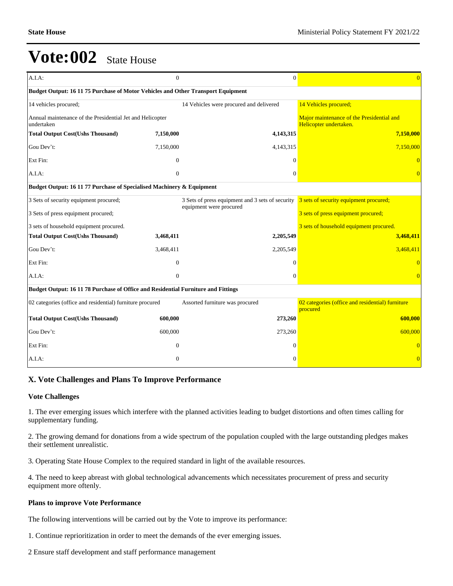| A.I.A:                                                                            | $\mathbf{0}$                                                          | $\mathbf{0}$                                                                | $\overline{0}$                                                      |  |  |  |  |  |  |
|-----------------------------------------------------------------------------------|-----------------------------------------------------------------------|-----------------------------------------------------------------------------|---------------------------------------------------------------------|--|--|--|--|--|--|
| Budget Output: 16 11 75 Purchase of Motor Vehicles and Other Transport Equipment  |                                                                       |                                                                             |                                                                     |  |  |  |  |  |  |
| 14 vehicles procured;                                                             |                                                                       | 14 Vehicles were procured and delivered                                     | 14 Vehicles procured;                                               |  |  |  |  |  |  |
| Annual maintenance of the Presidential Jet and Helicopter<br>undertaken           |                                                                       |                                                                             | Major maintenance of the Presidential and<br>Helicopter undertaken. |  |  |  |  |  |  |
| <b>Total Output Cost(Ushs Thousand)</b>                                           | 7.150.000                                                             | 4,143,315                                                                   | 7,150,000                                                           |  |  |  |  |  |  |
| Gou Dev't:                                                                        | 7,150,000                                                             | 4,143,315                                                                   | 7,150,000                                                           |  |  |  |  |  |  |
| Ext Fin:                                                                          | $\Omega$                                                              | $\Omega$                                                                    |                                                                     |  |  |  |  |  |  |
| A.I.A:                                                                            | $\overline{0}$                                                        | $\mathbf{0}$                                                                |                                                                     |  |  |  |  |  |  |
|                                                                                   | Budget Output: 16 11 77 Purchase of Specialised Machinery & Equipment |                                                                             |                                                                     |  |  |  |  |  |  |
| 3 Sets of security equipment procured;                                            |                                                                       | 3 Sets of press equipment and 3 sets of security<br>equipment were procured | 3 sets of security equipment procured;                              |  |  |  |  |  |  |
| 3 Sets of press equipment procured;                                               |                                                                       |                                                                             | 3 sets of press equipment procured;                                 |  |  |  |  |  |  |
| 3 sets of household equipment procured.                                           |                                                                       |                                                                             | 3 sets of household equipment procured.                             |  |  |  |  |  |  |
| <b>Total Output Cost(Ushs Thousand)</b>                                           | 3,468,411                                                             | 2,205,549                                                                   | 3,468,411                                                           |  |  |  |  |  |  |
| Gou Dev't:                                                                        | 3,468,411                                                             | 2,205,549                                                                   | 3,468,411                                                           |  |  |  |  |  |  |
| Ext Fin:                                                                          | $\overline{0}$                                                        | $\Omega$                                                                    | $\Omega$                                                            |  |  |  |  |  |  |
| A.I.A.                                                                            | $\boldsymbol{0}$                                                      | $\mathbf{0}$                                                                |                                                                     |  |  |  |  |  |  |
| Budget Output: 16 11 78 Purchase of Office and Residential Furniture and Fittings |                                                                       |                                                                             |                                                                     |  |  |  |  |  |  |
| 02 categories (office and residential) furniture procured                         |                                                                       | Assorted furniture was procured                                             | 02 categories (office and residential) furniture<br>procured        |  |  |  |  |  |  |
| <b>Total Output Cost(Ushs Thousand)</b>                                           | 600,000                                                               | 273,260                                                                     | 600,000                                                             |  |  |  |  |  |  |
| Gou Dev't:                                                                        | 600,000                                                               | 273,260                                                                     | 600,000                                                             |  |  |  |  |  |  |
| Ext Fin:                                                                          | $\theta$                                                              | $\Omega$                                                                    |                                                                     |  |  |  |  |  |  |
| A.I.A:                                                                            | $\mathbf{0}$                                                          | $\Omega$                                                                    | $\theta$                                                            |  |  |  |  |  |  |

### **X. Vote Challenges and Plans To Improve Performance**

#### **Vote Challenges**

1. The ever emerging issues which interfere with the planned activities leading to budget distortions and often times calling for supplementary funding.

2. The growing demand for donations from a wide spectrum of the population coupled with the large outstanding pledges makes their settlement unrealistic.

3. Operating State House Complex to the required standard in light of the available resources.

4. The need to keep abreast with global technological advancements which necessitates procurement of press and security equipment more oftenly.

#### **Plans to improve Vote Performance**

The following interventions will be carried out by the Vote to improve its performance:

1. Continue reprioritization in order to meet the demands of the ever emerging issues.

2 Ensure staff development and staff performance management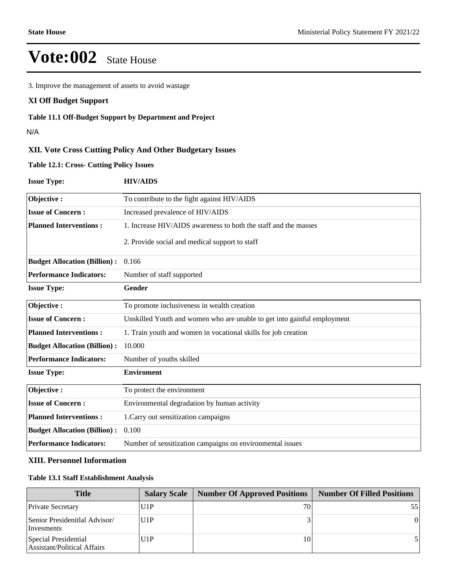3. Improve the management of assets to avoid wastage

### **XI Off Budget Support**

### **Table 11.1 Off-Budget Support by Department and Project**

N/A

## **XII. Vote Cross Cutting Policy And Other Budgetary Issues**

**Table 12.1: Cross- Cutting Policy Issues**

| <b>Issue Type:</b>                                                                                  | <b>HIV/AIDS</b>                                                 |  |  |
|-----------------------------------------------------------------------------------------------------|-----------------------------------------------------------------|--|--|
| Objective:                                                                                          | To contribute to the fight against HIV/AIDS                     |  |  |
| <b>Issue of Concern:</b>                                                                            | Increased prevalence of HIV/AIDS                                |  |  |
| <b>Planned Interventions:</b>                                                                       | 1. Increase HIV/AIDS awareness to both the staff and the masses |  |  |
|                                                                                                     | 2. Provide social and medical support to staff                  |  |  |
| <b>Budget Allocation (Billion):</b>                                                                 | 0.166                                                           |  |  |
| <b>Performance Indicators:</b>                                                                      | Number of staff supported                                       |  |  |
| <b>Issue Type:</b>                                                                                  | Gender                                                          |  |  |
| Objective:                                                                                          | To promote inclusiveness in wealth creation                     |  |  |
| <b>Issue of Concern:</b><br>Unskilled Youth and women who are unable to get into gainful employment |                                                                 |  |  |
| <b>Planned Interventions:</b>                                                                       | 1. Train youth and women in vocational skills for job creation  |  |  |
| <b>Budget Allocation (Billion):</b>                                                                 | 10.000                                                          |  |  |
| <b>Performance Indicators:</b>                                                                      | Number of youths skilled                                        |  |  |
| <b>Issue Type:</b>                                                                                  | <b>Enviroment</b>                                               |  |  |
| Objective:                                                                                          | To protect the environment                                      |  |  |
| <b>Issue of Concern:</b>                                                                            | Environmental degradation by human activity                     |  |  |
| <b>Planned Interventions:</b>                                                                       | 1. Carry out sensitization campaigns                            |  |  |
| <b>Budget Allocation (Billion):</b>                                                                 | 0.100                                                           |  |  |
| <b>Performance Indicators:</b>                                                                      | Number of sensitization campaigns on environmental issues       |  |  |

### **XIII. Personnel Information**

### **Table 13.1 Staff Establishment Analysis**

| <b>Title</b>                                               | <b>Salary Scale</b> | <b>Number Of Approved Positions</b> | Number Of Filled Positions |
|------------------------------------------------------------|---------------------|-------------------------------------|----------------------------|
| <b>Private Secretary</b>                                   | U1P                 | 70                                  |                            |
| Senior Presidenitlal Advisor/<br>Invesments                | U1P                 |                                     |                            |
| Special Presidential<br><b>Assistant/Political Affairs</b> | U1P                 | 10                                  |                            |